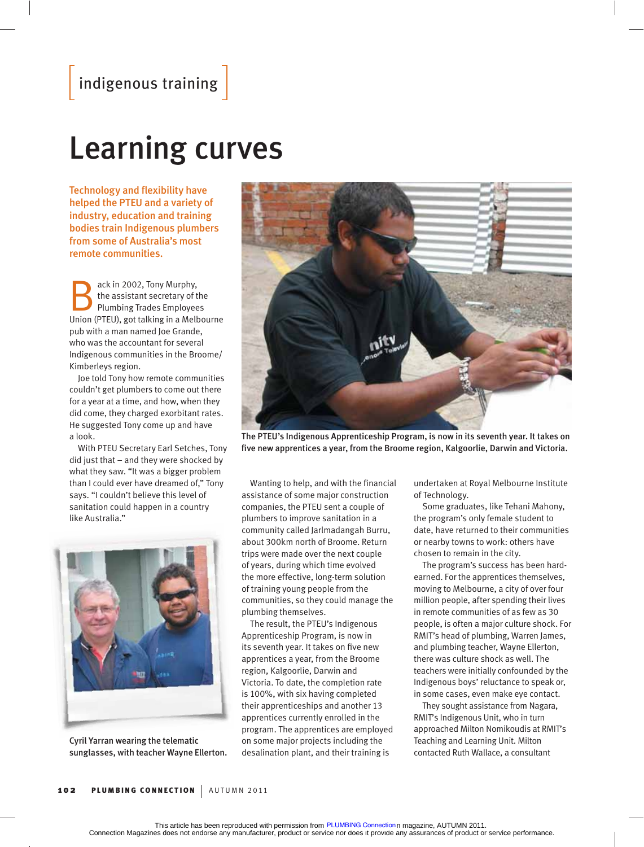## Learning curves

Technology and flexibility have helped the PTEU and a variety of industry, education and training bodies train Indigenous plumbers from some of Australia's most remote communities.

ack in 2002, Tony Murphy,<br>the assistant secretary of the<br>Plumbing Trades Employees the assistant secretary of the Union (PTEU), got talking in a Melbourne pub with a man named Joe Grande, who was the accountant for several Indigenous communities in the Broome/ Kimberleys region.

Joe told Tony how remote communities couldn't get plumbers to come out there for a year at a time, and how, when they did come, they charged exorbitant rates. He suggested Tony come up and have a look.

With PTEU Secretary Earl Setches, Tony did just that – and they were shocked by what they saw. "It was a bigger problem than I could ever have dreamed of," Tony says. "I couldn't believe this level of sanitation could happen in a country like Australia."



Cyril Yarran wearing the telematic sunglasses, with teacher Wayne Ellerton.



The PTEU's Indigenous Apprenticeship Program, is now in its seventh year. It takes on five new apprentices a year, from the Broome region, Kalgoorlie, Darwin and Victoria.

Wanting to help, and with the financial assistance of some major construction companies, the PTEU sent a couple of plumbers to improve sanitation in a community called Jarlmadangah Burru, about 300km north of Broome. Return trips were made over the next couple of years, during which time evolved the more effective, long-term solution of training young people from the communities, so they could manage the plumbing themselves.

The result, the PTEU's Indigenous Apprenticeship Program, is now in its seventh year. It takes on five new apprentices a year, from the Broome region, Kalgoorlie, Darwin and Victoria. To date, the completion rate is 100%, with six having completed their apprenticeships and another 13 apprentices currently enrolled in the program. The apprentices are employed on some major projects including the desalination plant, and their training is

undertaken at Royal Melbourne Institute of Technology.

Some graduates, like Tehani Mahony, the program's only female student to date, have returned to their communities or nearby towns to work: others have chosen to remain in the city.

The program's success has been hardearned. For the apprentices themselves, moving to Melbourne, a city of over four million people, after spending their lives in remote communities of as few as 30 people, is often a major culture shock. For RMIT's head of plumbing, Warren James, and plumbing teacher, Wayne Ellerton, there was culture shock as well. The teachers were initially confounded by the Indigenous boys' reluctance to speak or, in some cases, even make eye contact.

They sought assistance from Nagara, RMIT's Indigenous Unit, who in turn approached Milton Nomikoudis at RMIT's Teaching and Learning Unit. Milton contacted Ruth Wallace, a consultant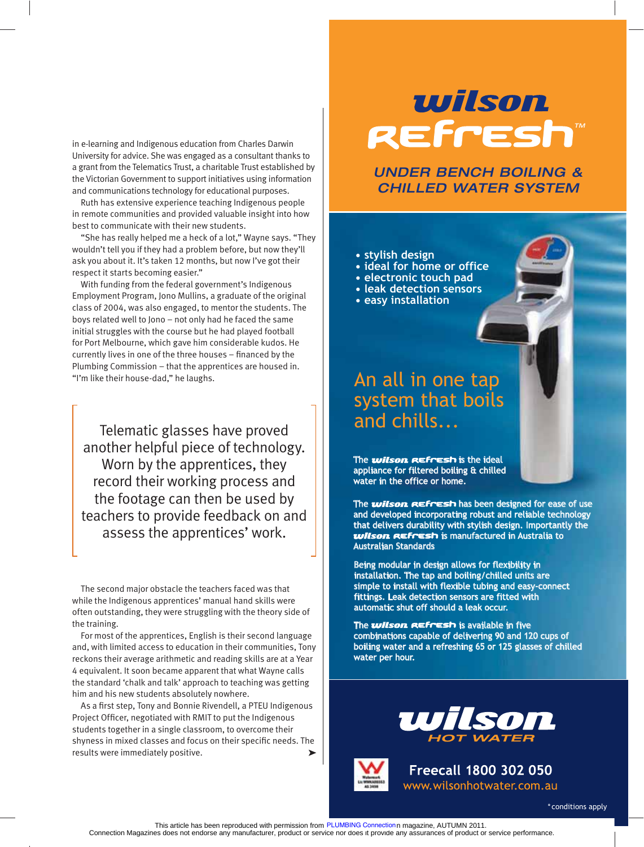in e-learning and Indigenous education from Charles Darwin University for advice. She was engaged as a consultant thanks to a grant from the Telematics Trust, a charitable Trust established by the Victorian Government to support initiatives using information and communications technology for educational purposes.

Ruth has extensive experience teaching Indigenous people in remote communities and provided valuable insight into how best to communicate with their new students.

"She has really helped me a heck of a lot," Wayne says. "They wouldn't tell you if they had a problem before, but now they'll ask you about it. It's taken 12 months, but now I've got their respect it starts becoming easier."

With funding from the federal government's Indigenous Employment Program, Jono Mullins, a graduate of the original class of 2004, was also engaged, to mentor the students. The boys related well to Jono – not only had he faced the same initial struggles with the course but he had played football for Port Melbourne, which gave him considerable kudos. He currently lives in one of the three houses - financed by the Plumbing Commission – that the apprentices are housed in. "I'm like their house-dad," he laughs.

Telematic glasses have proved another helpful piece of technology. Worn by the apprentices, they record their working process and the footage can then be used by teachers to provide feedback on and assess the apprentices' work.

The second major obstacle the teachers faced was that while the Indigenous apprentices' manual hand skills were often outstanding, they were struggling with the theory side of the training.

For most of the apprentices, English is their second language and, with limited access to education in their communities, Tony reckons their average arithmetic and reading skills are at a Year 4 equivalent. It soon became apparent that what Wayne calls the standard 'chalk and talk' approach to teaching was getting him and his new students absolutely nowhere.

As a first step, Tony and Bonnie Rivendell, a PTEU Indigenous Project Officer, negotiated with RMIT to put the Indigenous students together in a single classroom, to overcome their shyness in mixed classes and focus on their specific needs. The results were immediately positive.

# *wilson* REFresh®

UNDER BENCH BOILING & CHILLED WATER SYSTEM

**• stylish design** 

- **Lideal for home or office**
- **electronic touch pad**
- **leak detection sensors**
- **easy installation**

### An all in one tap system that boils and chills...

The **wilson REFresh** is the ideal appliance for filtered boiling & chilled water in the office or home.

The **wilson REFresh** has been designed for ease of use and developed incorporating robust and reliable technology that delivers durability with stylish design. Importantly the *ullson REFFESH* is manufactured in Australia to Australian Standards

Being modular in design allows for flexibility in installation. The tap and boiling/chilled units are simple to install with flexible tubing and easy-connect fittings. Leak detection sensors are fitted with automatic shut off should a leak occur.

The **wilson REFresh** is available in five combinations capable of delivering 90 and 120 cups of boiling water and a refreshing 65 or 125 glasses of chilled water per hour.





**Freecall 1800 302 050** www.wilsonhotwater.com.au

PLUMBING Connection